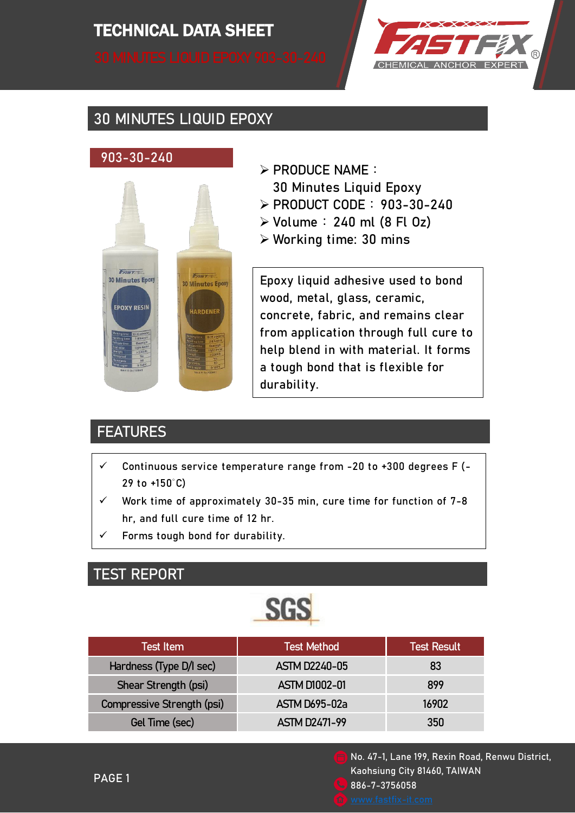# TECHNICAL DATA SHEET TECHNICAL DATA SHEET



# 30 MINUTES LIQUID EPOXY

#### 903-30-240



- $\triangleright$  PRODUCE NAME:
	- 30 Minutes Liquid Epoxy
- PRODUCT CODE:903-30-240
- $\triangleright$  Volume: 240 ml (8 Fl Oz)
- Working time: 30 mins

Epoxy liquid adhesive used to bond wood, metal, glass, ceramic, concrete, fabric, and remains clear from application through full cure to help blend in with material. It forms a tough bond that is flexible for durability.

# **FEATURES**

- $\checkmark$  Continuous service temperature range from -20 to +300 degrees F (-29 to +150°C)
- $\checkmark$  Work time of approximately 30-35 min, cure time for function of 7-8 hr, and full cure time of 12 hr.
- Forms tough bond for durability.

#### TEST REPORT



| <b>Test Item</b>           | <b>Test Method</b>   | <b>Test Result</b> |
|----------------------------|----------------------|--------------------|
| Hardness (Type D/I sec)    | <b>ASTM D2240-05</b> | 83                 |
| Shear Strength (psi)       | <b>ASTM D1002-01</b> | 899                |
| Compressive Strength (psi) | <b>ASTM D695-02a</b> | 16902              |
| Gel Time (sec)             | <b>ASTM D2471-99</b> | 350                |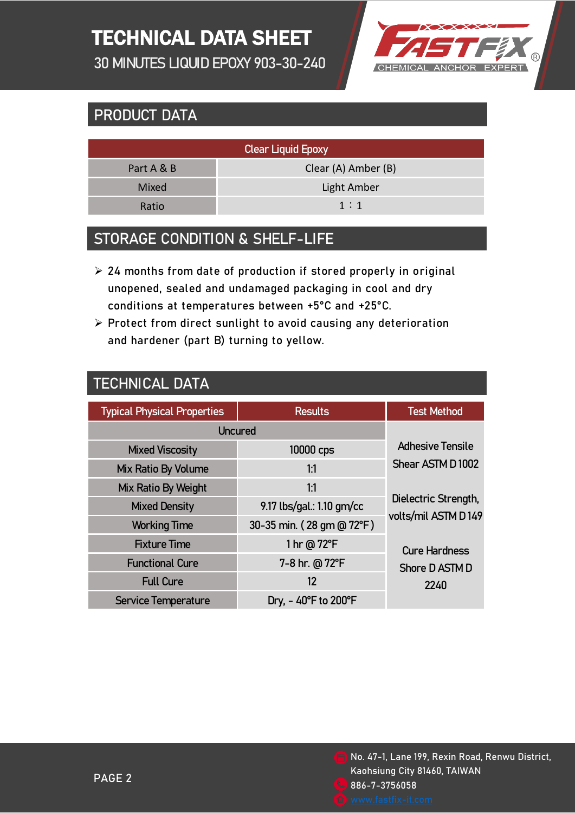# TECHNICAL DATA SHEET

30 MINUTES LIQUID EPOXY 903-30-240



### PRODUCT DATA

| <b>Clear Liquid Epoxy</b> |                     |  |  |  |
|---------------------------|---------------------|--|--|--|
| Part A & B                | Clear (A) Amber (B) |  |  |  |
| Mixed                     | Light Amber         |  |  |  |
| Ratio                     | 1:1                 |  |  |  |
|                           |                     |  |  |  |

#### STORAGE CONDITION & SHELF-LIFE

- $\geq$  24 months from date of production if stored properly in original unopened, sealed and undamaged packaging in cool and dry conditions at temperatures between +5°C and +25°C.
- $\triangleright$  Protect from direct sunlight to avoid causing any deterioration and hardener (part B) turning to yellow.

| TECHNICAL DATA |
|----------------|
|----------------|

| <b>Typical Physical Properties</b> | <b>Results</b>                           | <b>Test Method</b>                                                                                                |
|------------------------------------|------------------------------------------|-------------------------------------------------------------------------------------------------------------------|
| <b>Uncured</b>                     |                                          |                                                                                                                   |
| <b>Mixed Viscosity</b>             | 10000 cps                                | <b>Adhesive Tensile</b>                                                                                           |
| Mix Ratio By Volume                | 1:1                                      | Shear ASTM D1002<br>Dielectric Strength,<br>volts/mil ASTM D149<br><b>Cure Hardness</b><br>Shore D ASTM D<br>2240 |
| Mix Ratio By Weight                | 1:1                                      |                                                                                                                   |
| <b>Mixed Density</b>               | 9.17 lbs/gal.: 1.10 gm/cc                |                                                                                                                   |
| <b>Working Time</b>                | 30-35 min. (28 gm @ 72°F)                |                                                                                                                   |
| <b>Fixture Time</b>                | 1 hr @ 72°F                              |                                                                                                                   |
| <b>Functional Cure</b>             | 7-8 hr. @ 72°F                           |                                                                                                                   |
| <b>Full Cure</b>                   | 12                                       |                                                                                                                   |
| <b>Service Temperature</b>         | Dry, $-40^{\circ}$ F to 200 $^{\circ}$ F |                                                                                                                   |